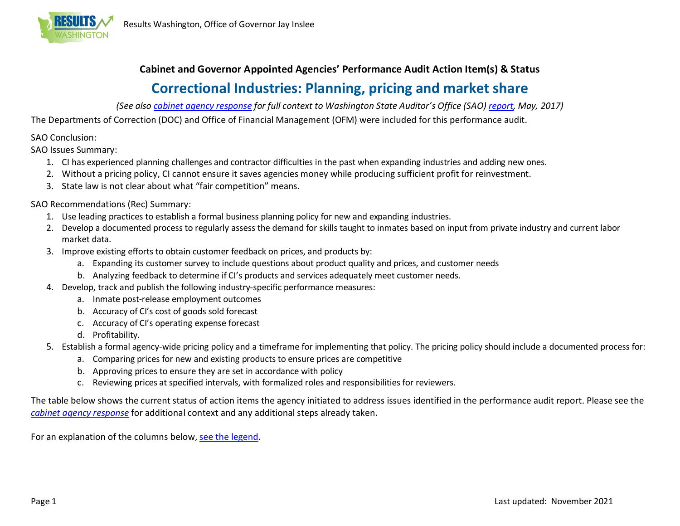

## **Cabinet and Governor Appointed Agencies' Performance Audit Action Item(s) & Status Correctional Industries: Planning, pricing and market share**

*(See also [cabinet agency response](http://www.results.wa.gov/sites/default/files/Response-correctional-industries-2017.pdf) for full context to Washington State Auditor's Office (SAO) [report,](http://www.sao.wa.gov/state/Documents/PA_Correctional_Industries_ar1019095.pdf) May, 2017)* 

The Departments of Correction (DOC) and Office of Financial Management (OFM) were included for this performance audit.

## SAO Conclusion:

SAO Issues Summary:

- 1. CI has experienced planning challenges and contractor difficulties in the past when expanding industries and adding new ones.
- 2. Without a pricing policy, CI cannot ensure it saves agencies money while producing sufficient profit for reinvestment.
- 3. State law is not clear about what "fair competition" means.

## SAO Recommendations (Rec) Summary:

- 1. Use leading practices to establish a formal business planning policy for new and expanding industries.
- 2. Develop a documented process to regularly assess the demand for skills taught to inmates based on input from private industry and current labor market data.
- 3. Improve existing efforts to obtain customer feedback on prices, and products by:
	- a. Expanding its customer survey to include questions about product quality and prices, and customer needs
	- b. Analyzing feedback to determine if CI's products and services adequately meet customer needs.
- 4. Develop, track and publish the following industry-specific performance measures:
	- a. Inmate post-release employment outcomes
	- b. Accuracy of CI's cost of goods sold forecast
	- c. Accuracy of CI's operating expense forecast
	- d. Profitability.
- 5. Establish a formal agency-wide pricing policy and a timeframe for implementing that policy. The pricing policy should include a documented process for:
	- a. Comparing prices for new and existing products to ensure prices are competitive
	- b. Approving prices to ensure they are set in accordance with policy
	- c. Reviewing prices at specified intervals, with formalized roles and responsibilities for reviewers.

The table below shows the current status of action items the agency initiated to address issues identified in the performance audit report. Please see the *[cabinet agency response](http://www.results.wa.gov/sites/default/files/Response-correctional-industries-2017.pdf)* for additional context and any additional steps already taken.

For an explanation of the columns below, see the legend.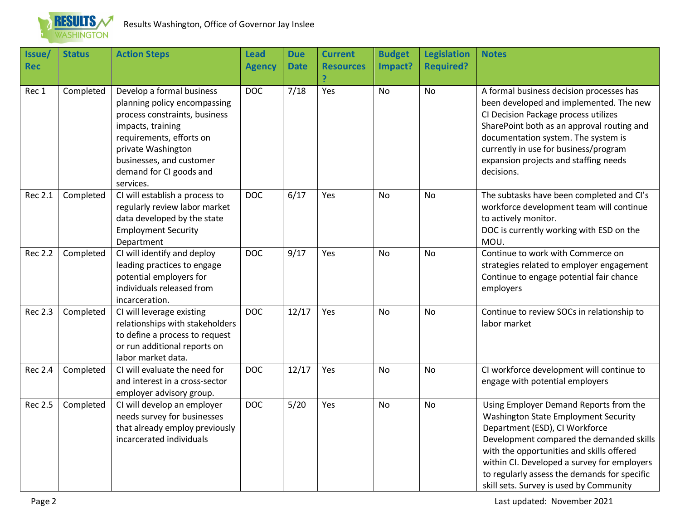

| Issue/<br><b>Rec</b> | <b>Status</b> | <b>Action Steps</b>                                                                                                                                                                                                                   | <b>Lead</b><br><b>Agency</b> | <b>Due</b><br><b>Date</b> | <b>Current</b><br><b>Resources</b> | <b>Budget</b><br>Impact? | <b>Legislation</b><br><b>Required?</b> | <b>Notes</b>                                                                                                                                                                                                                                                                                                                                        |
|----------------------|---------------|---------------------------------------------------------------------------------------------------------------------------------------------------------------------------------------------------------------------------------------|------------------------------|---------------------------|------------------------------------|--------------------------|----------------------------------------|-----------------------------------------------------------------------------------------------------------------------------------------------------------------------------------------------------------------------------------------------------------------------------------------------------------------------------------------------------|
| Rec 1                | Completed     | Develop a formal business<br>planning policy encompassing<br>process constraints, business<br>impacts, training<br>requirements, efforts on<br>private Washington<br>businesses, and customer<br>demand for CI goods and<br>services. | <b>DOC</b>                   | 7/18                      | Yes                                | No                       | No                                     | A formal business decision processes has<br>been developed and implemented. The new<br>CI Decision Package process utilizes<br>SharePoint both as an approval routing and<br>documentation system. The system is<br>currently in use for business/program<br>expansion projects and staffing needs<br>decisions.                                    |
| <b>Rec 2.1</b>       | Completed     | CI will establish a process to<br>regularly review labor market<br>data developed by the state<br><b>Employment Security</b><br>Department                                                                                            | <b>DOC</b>                   | 6/17                      | Yes                                | No                       | No                                     | The subtasks have been completed and CI's<br>workforce development team will continue<br>to actively monitor.<br>DOC is currently working with ESD on the<br>MOU.                                                                                                                                                                                   |
| <b>Rec 2.2</b>       | Completed     | CI will identify and deploy<br>leading practices to engage<br>potential employers for<br>individuals released from<br>incarceration.                                                                                                  | <b>DOC</b>                   | 9/17                      | Yes                                | <b>No</b>                | <b>No</b>                              | Continue to work with Commerce on<br>strategies related to employer engagement<br>Continue to engage potential fair chance<br>employers                                                                                                                                                                                                             |
| <b>Rec 2.3</b>       | Completed     | CI will leverage existing<br>relationships with stakeholders<br>to define a process to request<br>or run additional reports on<br>labor market data.                                                                                  | <b>DOC</b>                   | 12/17                     | Yes                                | <b>No</b>                | <b>No</b>                              | Continue to review SOCs in relationship to<br>labor market                                                                                                                                                                                                                                                                                          |
| <b>Rec 2.4</b>       | Completed     | CI will evaluate the need for<br>and interest in a cross-sector<br>employer advisory group.                                                                                                                                           | <b>DOC</b>                   | 12/17                     | Yes                                | No                       | No                                     | CI workforce development will continue to<br>engage with potential employers                                                                                                                                                                                                                                                                        |
| <b>Rec 2.5</b>       | Completed     | CI will develop an employer<br>needs survey for businesses<br>that already employ previously<br>incarcerated individuals                                                                                                              | <b>DOC</b>                   | 5/20                      | Yes                                | <b>No</b>                | No                                     | Using Employer Demand Reports from the<br>Washington State Employment Security<br>Department (ESD), CI Workforce<br>Development compared the demanded skills<br>with the opportunities and skills offered<br>within CI. Developed a survey for employers<br>to regularly assess the demands for specific<br>skill sets. Survey is used by Community |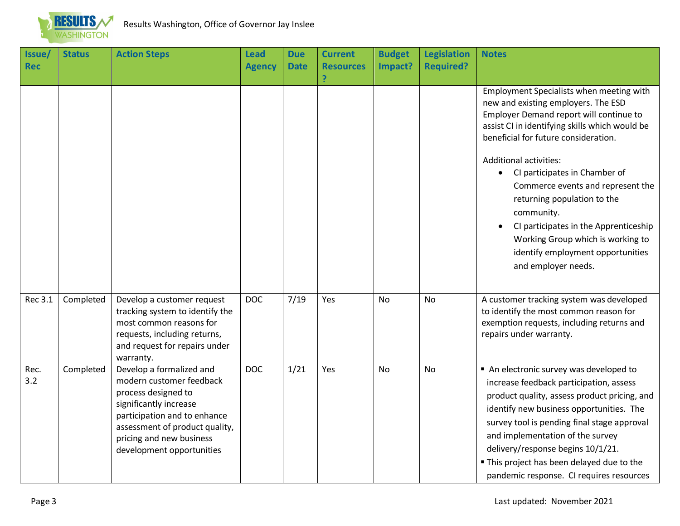

| Issue/<br>Rec | <b>Status</b> | <b>Action Steps</b>                                                                                                                                                                                                              | <b>Lead</b><br><b>Agency</b> | <b>Due</b><br><b>Date</b> | <b>Current</b><br><b>Resources</b> | <b>Budget</b><br>Impact? | <b>Legislation</b><br><b>Required?</b> | <b>Notes</b>                                                                                                                                                                                                                                                                                                                                                                                   |
|---------------|---------------|----------------------------------------------------------------------------------------------------------------------------------------------------------------------------------------------------------------------------------|------------------------------|---------------------------|------------------------------------|--------------------------|----------------------------------------|------------------------------------------------------------------------------------------------------------------------------------------------------------------------------------------------------------------------------------------------------------------------------------------------------------------------------------------------------------------------------------------------|
|               |               |                                                                                                                                                                                                                                  |                              |                           | P                                  |                          |                                        |                                                                                                                                                                                                                                                                                                                                                                                                |
|               |               |                                                                                                                                                                                                                                  |                              |                           |                                    |                          |                                        | Employment Specialists when meeting with<br>new and existing employers. The ESD<br>Employer Demand report will continue to<br>assist CI in identifying skills which would be<br>beneficial for future consideration.                                                                                                                                                                           |
|               |               |                                                                                                                                                                                                                                  |                              |                           |                                    |                          |                                        | <b>Additional activities:</b><br>CI participates in Chamber of<br>$\bullet$<br>Commerce events and represent the<br>returning population to the<br>community.<br>CI participates in the Apprenticeship<br>Working Group which is working to<br>identify employment opportunities<br>and employer needs.                                                                                        |
| Rec 3.1       | Completed     | Develop a customer request<br>tracking system to identify the<br>most common reasons for<br>requests, including returns,<br>and request for repairs under<br>warranty.                                                           | <b>DOC</b>                   | 7/19                      | Yes                                | No                       | No                                     | A customer tracking system was developed<br>to identify the most common reason for<br>exemption requests, including returns and<br>repairs under warranty.                                                                                                                                                                                                                                     |
| Rec.<br>3.2   | Completed     | Develop a formalized and<br>modern customer feedback<br>process designed to<br>significantly increase<br>participation and to enhance<br>assessment of product quality,<br>pricing and new business<br>development opportunities | <b>DOC</b>                   | 1/21                      | Yes                                | <b>No</b>                | No                                     | An electronic survey was developed to<br>increase feedback participation, assess<br>product quality, assess product pricing, and<br>identify new business opportunities. The<br>survey tool is pending final stage approval<br>and implementation of the survey<br>delivery/response begins 10/1/21.<br>" This project has been delayed due to the<br>pandemic response. CI requires resources |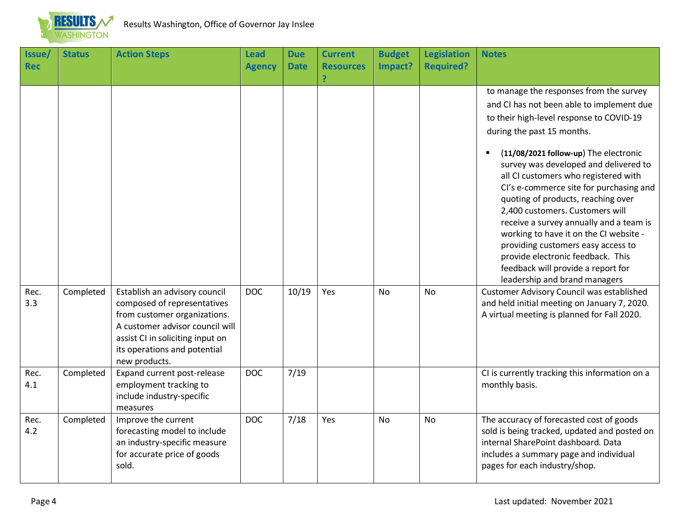

| Issue/<br><b>Rec</b> | <b>Status</b> | <b>Action Steps</b>                                                                                                                                                                                                  | <b>Lead</b><br><b>Agency</b> | <b>Due</b><br><b>Date</b> | <b>Current</b><br><b>Resources</b><br>P | <b>Budget</b><br>Impact? | <b>Legislation</b><br><b>Required?</b> | <b>Notes</b>                                                                                                                                                                                                                                                                                                                                                                                                                                                                           |
|----------------------|---------------|----------------------------------------------------------------------------------------------------------------------------------------------------------------------------------------------------------------------|------------------------------|---------------------------|-----------------------------------------|--------------------------|----------------------------------------|----------------------------------------------------------------------------------------------------------------------------------------------------------------------------------------------------------------------------------------------------------------------------------------------------------------------------------------------------------------------------------------------------------------------------------------------------------------------------------------|
|                      |               |                                                                                                                                                                                                                      |                              |                           |                                         |                          |                                        | to manage the responses from the survey<br>and CI has not been able to implement due<br>to their high-level response to COVID-19<br>during the past 15 months.                                                                                                                                                                                                                                                                                                                         |
|                      |               |                                                                                                                                                                                                                      |                              |                           |                                         |                          |                                        | (11/08/2021 follow-up) The electronic<br>×<br>survey was developed and delivered to<br>all CI customers who registered with<br>Cl's e-commerce site for purchasing and<br>quoting of products, reaching over<br>2,400 customers. Customers will<br>receive a survey annually and a team is<br>working to have it on the CI website -<br>providing customers easy access to<br>provide electronic feedback. This<br>feedback will provide a report for<br>leadership and brand managers |
| Rec.<br>3.3          | Completed     | Establish an advisory council<br>composed of representatives<br>from customer organizations.<br>A customer advisor council will<br>assist CI in soliciting input on<br>its operations and potential<br>new products. | <b>DOC</b>                   | 10/19                     | Yes                                     | <b>No</b>                | <b>No</b>                              | Customer Advisory Council was established<br>and held initial meeting on January 7, 2020.<br>A virtual meeting is planned for Fall 2020.                                                                                                                                                                                                                                                                                                                                               |
| Rec.<br>4.1          | Completed     | Expand current post-release<br>employment tracking to<br>include industry-specific<br>measures                                                                                                                       | <b>DOC</b>                   | 7/19                      |                                         |                          |                                        | CI is currently tracking this information on a<br>monthly basis.                                                                                                                                                                                                                                                                                                                                                                                                                       |
| Rec.<br>4.2          | Completed     | Improve the current<br>forecasting model to include<br>an industry-specific measure<br>for accurate price of goods<br>sold.                                                                                          | <b>DOC</b>                   | 7/18                      | Yes                                     | <b>No</b>                | <b>No</b>                              | The accuracy of forecasted cost of goods<br>sold is being tracked, updated and posted on<br>internal SharePoint dashboard. Data<br>includes a summary page and individual<br>pages for each industry/shop.                                                                                                                                                                                                                                                                             |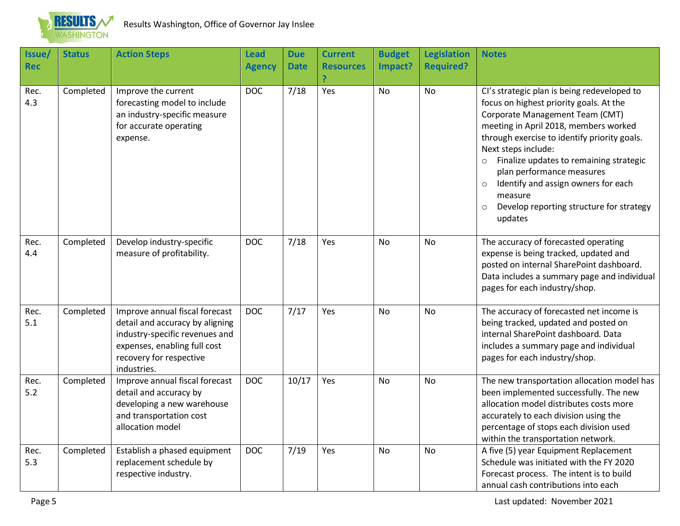

| Issue/<br><b>Rec</b> | <b>Status</b> | <b>Action Steps</b>                                                                                                                                                           | <b>Lead</b><br><b>Agency</b> | <b>Due</b><br><b>Date</b> | <b>Current</b><br><b>Resources</b><br>P | <b>Budget</b><br>Impact? | <b>Legislation</b><br><b>Required?</b> | <b>Notes</b>                                                                                                                                                                                                                                                                                                                                                                                                                                                |
|----------------------|---------------|-------------------------------------------------------------------------------------------------------------------------------------------------------------------------------|------------------------------|---------------------------|-----------------------------------------|--------------------------|----------------------------------------|-------------------------------------------------------------------------------------------------------------------------------------------------------------------------------------------------------------------------------------------------------------------------------------------------------------------------------------------------------------------------------------------------------------------------------------------------------------|
| Rec.<br>4.3          | Completed     | Improve the current<br>forecasting model to include<br>an industry-specific measure<br>for accurate operating<br>expense.                                                     | <b>DOC</b>                   | 7/18                      | Yes                                     | <b>No</b>                | <b>No</b>                              | Cl's strategic plan is being redeveloped to<br>focus on highest priority goals. At the<br>Corporate Management Team (CMT)<br>meeting in April 2018, members worked<br>through exercise to identify priority goals.<br>Next steps include:<br>Finalize updates to remaining strategic<br>$\circ$<br>plan performance measures<br>Identify and assign owners for each<br>$\circ$<br>measure<br>Develop reporting structure for strategy<br>$\circ$<br>updates |
| Rec.<br>4.4          | Completed     | Develop industry-specific<br>measure of profitability.                                                                                                                        | <b>DOC</b>                   | 7/18                      | Yes                                     | <b>No</b>                | <b>No</b>                              | The accuracy of forecasted operating<br>expense is being tracked, updated and<br>posted on internal SharePoint dashboard.<br>Data includes a summary page and individual<br>pages for each industry/shop.                                                                                                                                                                                                                                                   |
| Rec.<br>5.1          | Completed     | Improve annual fiscal forecast<br>detail and accuracy by aligning<br>industry-specific revenues and<br>expenses, enabling full cost<br>recovery for respective<br>industries. | <b>DOC</b>                   | 7/17                      | Yes                                     | <b>No</b>                | <b>No</b>                              | The accuracy of forecasted net income is<br>being tracked, updated and posted on<br>internal SharePoint dashboard. Data<br>includes a summary page and individual<br>pages for each industry/shop.                                                                                                                                                                                                                                                          |
| Rec.<br>5.2          | Completed     | Improve annual fiscal forecast<br>detail and accuracy by<br>developing a new warehouse<br>and transportation cost<br>allocation model                                         | <b>DOC</b>                   | 10/17                     | Yes                                     | No                       | No                                     | The new transportation allocation model has<br>been implemented successfully. The new<br>allocation model distributes costs more<br>accurately to each division using the<br>percentage of stops each division used<br>within the transportation network.                                                                                                                                                                                                   |
| Rec.<br>5.3          | Completed     | Establish a phased equipment<br>replacement schedule by<br>respective industry.                                                                                               | <b>DOC</b>                   | 7/19                      | Yes                                     | No                       | <b>No</b>                              | A five (5) year Equipment Replacement<br>Schedule was initiated with the FY 2020<br>Forecast process. The intent is to build<br>annual cash contributions into each                                                                                                                                                                                                                                                                                         |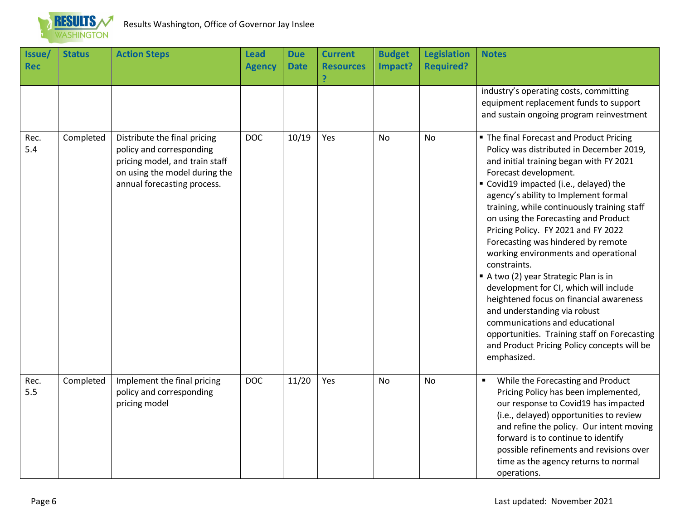

| Issue/<br><b>Rec</b> | <b>Status</b> | <b>Action Steps</b>                                                                                                                                        | <b>Lead</b><br><b>Agency</b> | <b>Due</b><br><b>Date</b> | <b>Current</b><br><b>Resources</b> | <b>Budget</b><br>Impact? | <b>Legislation</b><br><b>Required?</b> | <b>Notes</b>                                                                                                                                                                                                                                                                                                                                                                                                                                                                                                                                                                                                                                                                                                                                                                       |
|----------------------|---------------|------------------------------------------------------------------------------------------------------------------------------------------------------------|------------------------------|---------------------------|------------------------------------|--------------------------|----------------------------------------|------------------------------------------------------------------------------------------------------------------------------------------------------------------------------------------------------------------------------------------------------------------------------------------------------------------------------------------------------------------------------------------------------------------------------------------------------------------------------------------------------------------------------------------------------------------------------------------------------------------------------------------------------------------------------------------------------------------------------------------------------------------------------------|
|                      |               |                                                                                                                                                            |                              |                           |                                    |                          |                                        | industry's operating costs, committing<br>equipment replacement funds to support<br>and sustain ongoing program reinvestment                                                                                                                                                                                                                                                                                                                                                                                                                                                                                                                                                                                                                                                       |
| Rec.<br>5.4          | Completed     | Distribute the final pricing<br>policy and corresponding<br>pricing model, and train staff<br>on using the model during the<br>annual forecasting process. | <b>DOC</b>                   | 10/19                     | Yes                                | No                       | No                                     | " The final Forecast and Product Pricing<br>Policy was distributed in December 2019,<br>and initial training began with FY 2021<br>Forecast development.<br>" Covid19 impacted (i.e., delayed) the<br>agency's ability to Implement formal<br>training, while continuously training staff<br>on using the Forecasting and Product<br>Pricing Policy. FY 2021 and FY 2022<br>Forecasting was hindered by remote<br>working environments and operational<br>constraints.<br>A two (2) year Strategic Plan is in<br>development for CI, which will include<br>heightened focus on financial awareness<br>and understanding via robust<br>communications and educational<br>opportunities. Training staff on Forecasting<br>and Product Pricing Policy concepts will be<br>emphasized. |
| Rec.<br>5.5          | Completed     | Implement the final pricing<br>policy and corresponding<br>pricing model                                                                                   | <b>DOC</b>                   | 11/20                     | Yes                                | No                       | No                                     | While the Forecasting and Product<br>Pricing Policy has been implemented,<br>our response to Covid19 has impacted<br>(i.e., delayed) opportunities to review<br>and refine the policy. Our intent moving<br>forward is to continue to identify<br>possible refinements and revisions over<br>time as the agency returns to normal<br>operations.                                                                                                                                                                                                                                                                                                                                                                                                                                   |